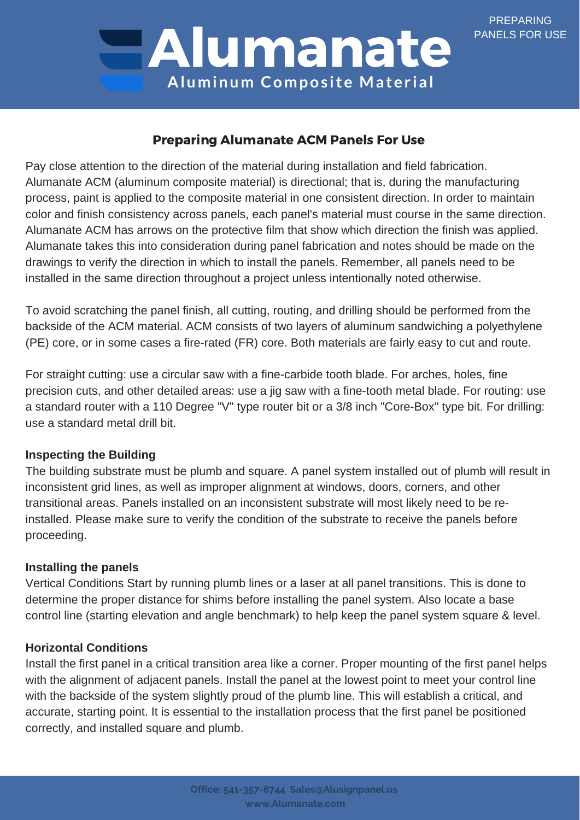PREPARING PANELS FOR USE

# Alumanate **Aluminum Compos ite Mater ial**

# Preparing Alumanate ACM Panels For Use

Pay close attention to the direction of the material during installation and field fabrication. Alumanate ACM (aluminum composite material) is directional; that is, during the manufacturing process, paint is applied to the composite material in one consistent direction. In order to maintain color and finish consistency across panels, each panel's material must course in the same direction. Alumanate ACM has arrows on the protective film that show which direction the finish was applied. Alumanate takes this into consideration during panel fabrication and notes should be made on the drawings to verify the direction in which to install the panels. Remember, all panels need to be installed in the same direction throughout a project unless intentionally noted otherwise.

To avoid scratching the panel finish, all cutting, routing, and drilling should be performed from the backside of the ACM material. ACM consists of two layers of aluminum sandwiching a polyethylene (PE) core, or in some cases a fire-rated (FR) core. Both materials are fairly easy to cut and route.

For straight cutting: use a circular saw with a fine-carbide tooth blade. For arches, holes, fine precision cuts, and other detailed areas: use a jig saw with a fine-tooth metal blade. For routing: use a standard router with a 110 Degree "V" type router bit or a 3/8 inch "Core-Box" type bit. For drilling: use a standard metal drill bit.

### **Inspecting the Building**

The building substrate must be plumb and square. A panel system installed out of plumb will result in inconsistent grid lines, as well as improper alignment at windows, doors, corners, and other transitional areas. Panels installed on an inconsistent substrate will most likely need to be reinstalled. Please make sure to verify the condition of the substrate to receive the panels before proceeding.

# **Installing the panels**

Vertical Conditions Start by running plumb lines or a laser at all panel transitions. This is done to determine the proper distance for shims before installing the panel system. Also locate a base control line (starting elevation and angle benchmark) to help keep the panel system square & level.

### **Horizontal Conditions**

Install the first panel in a critical transition area like a corner. Proper mounting of the first panel helps with the alignment of adjacent panels. Install the panel at the lowest point to meet your control line with the backside of the system slightly proud of the plumb line. This will establish a critical, and accurate, starting point. It is essential to the installation process that the first panel be positioned correctly, and installed square and plumb.